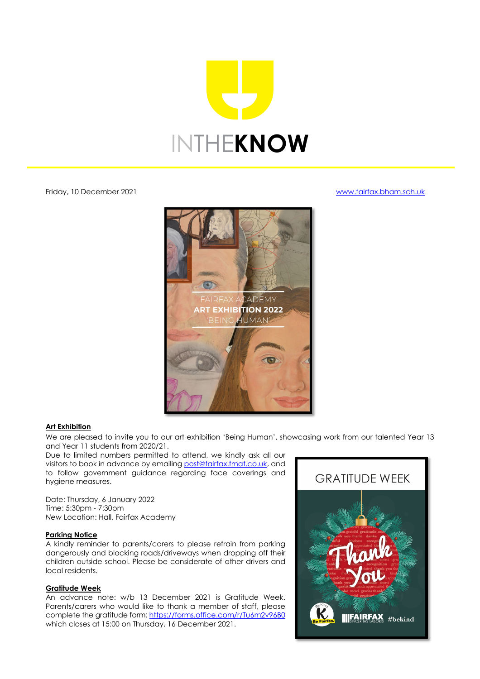

Friday, 10 December 2021 [www.fairfax.bham.sch.uk](http://www.fairfax.bham.sch.uk/)



### **Art Exhibition**

We are pleased to invite you to our art exhibition 'Being Human', showcasing work from our talented Year 13 and Year 11 students from 2020/21.

Due to limited numbers permitted to attend, we kindly ask all our visitors to book in advance by emailing [post@fairfax.fmat.co.uk,](mailto:post@fairfax.fmat.co.uk) and to follow government guidance regarding face coverings and hygiene measures.

Date: Thursday, 6 January 2022 Time: 5:30pm - 7:30pm *New* Location: Hall, Fairfax Academy

# **Parking Notice**

A kindly reminder to parents/carers to please refrain from parking dangerously and blocking roads/driveways when dropping off their children outside school. Please be considerate of other drivers and local residents.

### **Gratitude Week**

An advance note: w/b 13 December 2021 is Gratitude Week. Parents/carers who would like to thank a member of staff, please complete the gratitude form:<https://forms.office.com/r/Tu6m2v96B0> which closes at 15:00 on Thursday, 16 December 2021.

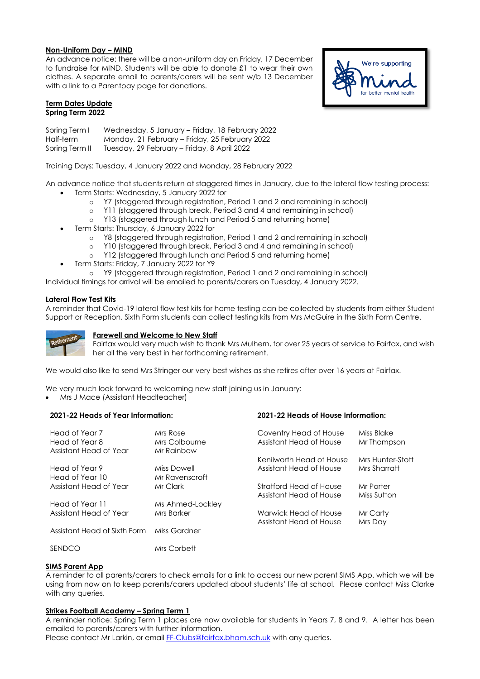#### **Non-Uniform Day – MIND**

An advance notice: there will be a non-uniform day on Friday, 17 December to fundraise for MIND. Students will be able to donate £1 to wear their own clothes. A separate email to parents/carers will be sent w/b 13 December with a link to a Parentpay page for donations.

### **Term Dates Update Spring Term 2022**

Spring Term I Wednesday, 5 January – Friday, 18 February 2022 Half-term Monday, 21 February – Friday, 25 February 2022<br>Spring Term II Tuesday, 29 February – Friday, 8 April 2022 Tuesday, 29 February – Friday, 8 April 2022

Training Days: Tuesday, 4 January 2022 and Monday, 28 February 2022

An advance notice that students return at staggered times in January, due to the lateral flow testing process:

- Term Starts: Wednesday, 5 January 2022 for
	- o Y7 (staggered through registration, Period 1 and 2 and remaining in school)<br>o Y11 (staggered through break, Period 3 and 4 and remaining in school)
	- o Y11 (staggered through break, Period 3 and 4 and remaining in school)<br>2008 Y13 (staggered through lunch and Period 5 and returning home)
	- Y13 (staggered through lunch and Period 5 and returning home)
- Term Starts: Thursday, 6 January 2022 for
	- $\circ$  Y8 (staggered through registration, Period 1 and 2 and remaining in school)<br> $\circ$  Y10 (staggered through break. Period 3 and 4 and remaining in school)
	- Y10 (staggered through break, Period 3 and 4 and remaining in school)
	- o Y12 (staggered through lunch and Period 5 and returning home)
	- Term Starts: Friday, 7 January 2022 for Y9

o Y9 (staggered through registration, Period 1 and 2 and remaining in school)

Individual timings for arrival will be emailed to parents/carers on Tuesday, 4 January 2022.

## **Lateral Flow Test Kits**

A reminder that Covid-19 lateral flow test kits for home testing can be collected by students from either Student Support or Reception. Sixth Form students can collect testing kits from Mrs McGuire in the Sixth Form Centre.



### **Farewell and Welcome to New Staff**

Fairfax would very much wish to thank Mrs Mulhern, for over 25 years of service to Fairfax, and wish her all the very best in her forthcoming retirement.

We would also like to send Mrs Stringer our very best wishes as she retires after over 16 years at Fairfax.

We very much look forward to welcoming new staff joining us in January:

• Mrs J Mace (Assistant Headteacher)

### **2021-22 Heads of Year Information: 2021-22 Heads of House Information:**

| Head of Year 7               | Mrs Rose         | Coventry Head of House   | Miss Blake       |
|------------------------------|------------------|--------------------------|------------------|
| Head of Year 8               | Mrs Colbourne    | Assistant Head of House  | Mr Thompson      |
| Assistant Head of Year       | Mr Rainbow       |                          |                  |
|                              |                  | Kenilworth Head of House | Mrs Hunter-Stott |
| Head of Year 9               | Miss Dowell      | Assistant Head of House  | Mrs Sharratt     |
| Head of Year 10              | Mr Ravenscroft   |                          |                  |
| Assistant Head of Year       | Mr Clark         | Stratford Head of House  | Mr Porter        |
|                              |                  | Assistant Head of House  | Miss Sutton      |
| Head of Year 11              | Ms Ahmed-Lockley |                          |                  |
| Assistant Head of Year       | Mrs Barker       | Warwick Head of House    | Mr Carty         |
|                              |                  | Assistant Head of House  | Mrs Day          |
| Assistant Head of Sixth Form | Miss Gardner     |                          |                  |
|                              |                  |                          |                  |
| <b>SENDCO</b>                | Mrs Corbett      |                          |                  |

## **SIMS Parent App**

A reminder to all parents/carers to check emails for a link to access our new parent SIMS App, which we will be using from now on to keep parents/carers updated about students' life at school. Please contact Miss Clarke with any queries.

## **Strikes Football Academy – Spring Term 1**

A reminder notice: Spring Term 1 places are now available for students in Years 7, 8 and 9. A letter has been emailed to parents/carers with further information. Please contact Mr Larkin, or email **FF-Clubs@fairfax.bham.sch.uk** with any queries.

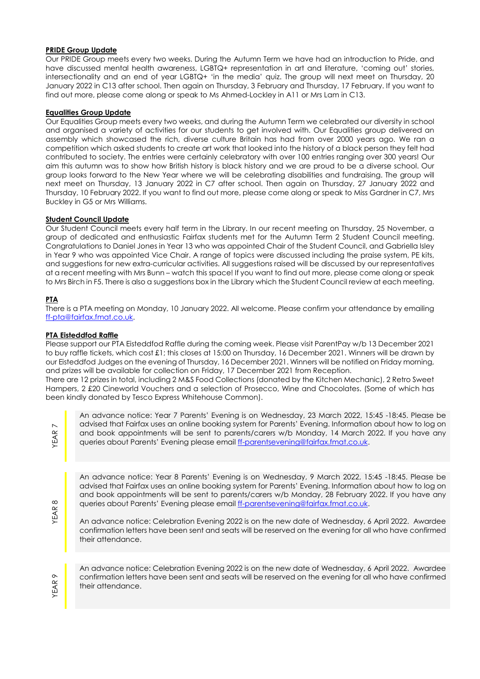## **PRIDE Group Update**

Our PRIDE Group meets every two weeks. During the Autumn Term we have had an introduction to Pride, and have discussed mental health awareness, LGBTQ+ representation in art and literature, 'coming out' stories, intersectionality and an end of year LGBTQ+ 'in the media' quiz. The group will next meet on Thursday, 20 January 2022 in C13 after school. Then again on Thursday, 3 February and Thursday, 17 February. If you want to find out more, please come along or speak to Ms Ahmed-Lockley in A11 or Mrs Lam in C13.

### **Equalities Group Update**

Our Equalities Group meets every two weeks, and during the Autumn Term we celebrated our diversity in school and organised a variety of activities for our students to get involved with. Our Equalities group delivered an assembly which showcased the rich, diverse culture Britain has had from over 2000 years ago. We ran a competition which asked students to create art work that looked into the history of a black person they felt had contributed to society. The entries were certainly celebratory with over 100 entries ranging over 300 years! Our aim this autumn was to show how British history is black history and we are proud to be a diverse school. Our group looks forward to the New Year where we will be celebrating disabilities and fundraising. The group will next meet on Thursday, 13 January 2022 in C7 after school. Then again on Thursday, 27 January 2022 and Thursday, 10 February 2022. If you want to find out more, please come along or speak to Miss Gardner in C7, Mrs Buckley in G5 or Mrs Williams.

### **Student Council Update**

Our Student Council meets every half term in the Library. In our recent meeting on Thursday, 25 November, a group of dedicated and enthusiastic Fairfax students met for the Autumn Term 2 Student Council meeting. Congratulations to Daniel Jones in Year 13 who was appointed Chair of the Student Council, and Gabriella Isley in Year 9 who was appointed Vice Chair. A range of topics were discussed including the praise system, PE kits, and suggestions for new extra-curricular activities. All suggestions raised will be discussed by our representatives at a recent meeting with Mrs Bunn – watch this space! If you want to find out more, please come along or speak to Mrs Birch in F5. There is also a suggestions box in the Library which the Student Council review at each meeting.

## **PTA**

There is a PTA meeting on Monday, 10 January 2022. All welcome. Please confirm your attendance by emailing [ff-pta@fairfax.fmat.co.uk.](mailto:ff-pta@fairfax.fmat.co.uk)

#### **PTA Eisteddfod Raffle**

Please support our PTA Eisteddfod Raffle during the coming week. Please visit ParentPay w/b 13 December 2021 to buy raffle tickets, which cost £1; this closes at 15:00 on Thursday, 16 December 2021. Winners will be drawn by our Eisteddfod Judges on the evening of Thursday, 16 December 2021. Winners will be notified on Friday morning, and prizes will be available for collection on Friday, 17 December 2021 from Reception.

There are 12 prizes in total, including 2 M&S Food Collections (donated by the Kitchen Mechanic), 2 Retro Sweet Hampers, 2 £20 Cineworld Vouchers and a selection of Prosecco, Wine and Chocolates. (Some of which has been kindly donated by Tesco Express Whitehouse Common).

YEAR

An advance notice: Year 7 Parents' Evening is on Wednesday, 23 March 2022, 15:45 -18:45. Please be advised that Fairfax uses an online booking system for Parents' Evening. Information about how to log on and book appointments will be sent to parents/carers w/b Monday, 14 March 2022. If you have any queries about Parents' Evening please emai[l ff-parentsevening@fairfax.fmat.co.uk.](mailto:ff-parentsevening@fairfax.fmat.co.uk)

An advance notice: Year 8 Parents' Evening is on Wednesday, 9 March 2022, 15:45 -18:45. Please be advised that Fairfax uses an online booking system for Parents' Evening. Information about how to log on and book appointments will be sent to parents/carers w/b Monday, 28 February 2022. If you have any queries about Parents' Evening please emai[l ff-parentsevening@fairfax.fmat.co.uk.](mailto:ff-parentsevening@fairfax.fmat.co.uk)

An advance notice: Celebration Evening 2022 is on the new date of Wednesday, 6 April 2022. Awardee confirmation letters have been sent and seats will be reserved on the evening for all who have confirmed their attendance.

YEAR 9

YEAR 8

An advance notice: Celebration Evening 2022 is on the new date of Wednesday, 6 April 2022. Awardee confirmation letters have been sent and seats will be reserved on the evening for all who have confirmed their attendance.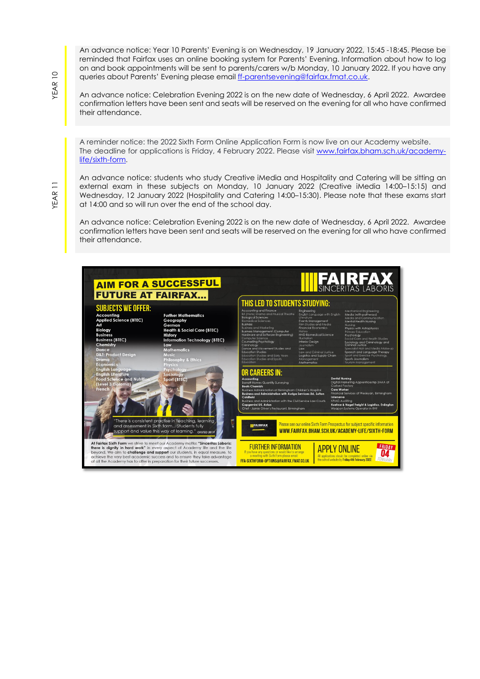An advance notice: Year 10 Parents' Evening is on Wednesday, 19 January 2022, 15:45 -18:45. Please be reminded that Fairfax uses an online booking system for Parents' Evening. Information about how to log on and book appointments will be sent to parents/carers w/b Monday, 10 January 2022. If you have any queries about Parents' Evening please emai[l ff-parentsevening@fairfax.fmat.co.uk.](mailto:ff-parentsevening@fairfax.fmat.co.uk)

An advance notice: Celebration Evening 2022 is on the new date of Wednesday, 6 April 2022. Awardee confirmation letters have been sent and seats will be reserved on the evening for all who have confirmed their attendance.

A reminder notice: the 2022 Sixth Form Online Application Form is now live on our Academy website. The deadline for applications is Friday, 4 February 2022. Please visit [www.fairfax.bham.sch.uk/academy](http://www.fairfax.bham.sch.uk/academy-life/sixth-form)[life/sixth-form.](http://www.fairfax.bham.sch.uk/academy-life/sixth-form)

An advance notice: students who study Creative iMedia and Hospitality and Catering will be sitting an external exam in these subjects on Monday, 10 January 2022 (Creative iMedia 14:00–15:15) and Wednesday, 12 January 2022 (Hospitality and Catering 14:00–15:30). Please note that these exams start at 14:00 and so will run over the end of the school day.

An advance notice: Celebration Evening 2022 is on the new date of Wednesday, 6 April 2022. Awardee confirmation letters have been sent and seats will be reserved on the evening for all who have confirmed their attendance.

**AIM FOR A SUCCESSFUL** SINCERITAS LABORIS **FUTURE AT FAIRFAX... THIS LED TO STUDENTS STUDYING: SUBJECTS WE OFFER:** in<mark>g and Finance</mark><br>} Drama and Musical Theatre Engineering<br>English Language with **Further Mathematics** Accounting<br>Applied Science (BTEC) Geography Geography<br>Health & Social Care (BTEC)<br>History agement (Computer<br>d Software Enaineerina **usiness** (BTEC) ory<br>vrmation Technology (BTEC) roaies<br>tudies and Early Years<br>tudies and Sports **CAREERS IN:**  $rt$  (BTFC on at Birmingham Children's Hospital<br>s<mark>tration with Auriga Services Ltd, Sutton</mark> ind Adm<br><mark>ni UK, As</mark> re is consistent practise in teaching, learning<br>assessment in Sixth form... Students fully Please see our online Sixth Form Prospectus for subject specific information **IFAIRFAX** and as: und assessment in sixth form... students fully<br>support and value this way of learning." <sub>OFSTED 20</sub> WWW.FAIRFAX.BHAM.SCH.UK/ACADEMY-LIFE/SIXTH-FORM At Fairlax Sixth Form we strive to meet our Academy motto: "Sinceritas Labotis:<br>there is dignity in hard work" in every aspect of Academy life and the life<br>beyond. We alim to challenge and support our students, in equal me FRIDAY **FURTHER INFORMATION APPLY ONLINE O4** tions should be completed online via<br>website by **Friday 4th February 2022** FFA-SIXTHFORM-OPTIONS@FAIRFAX.FMAT.CO.UK

YEAR 10